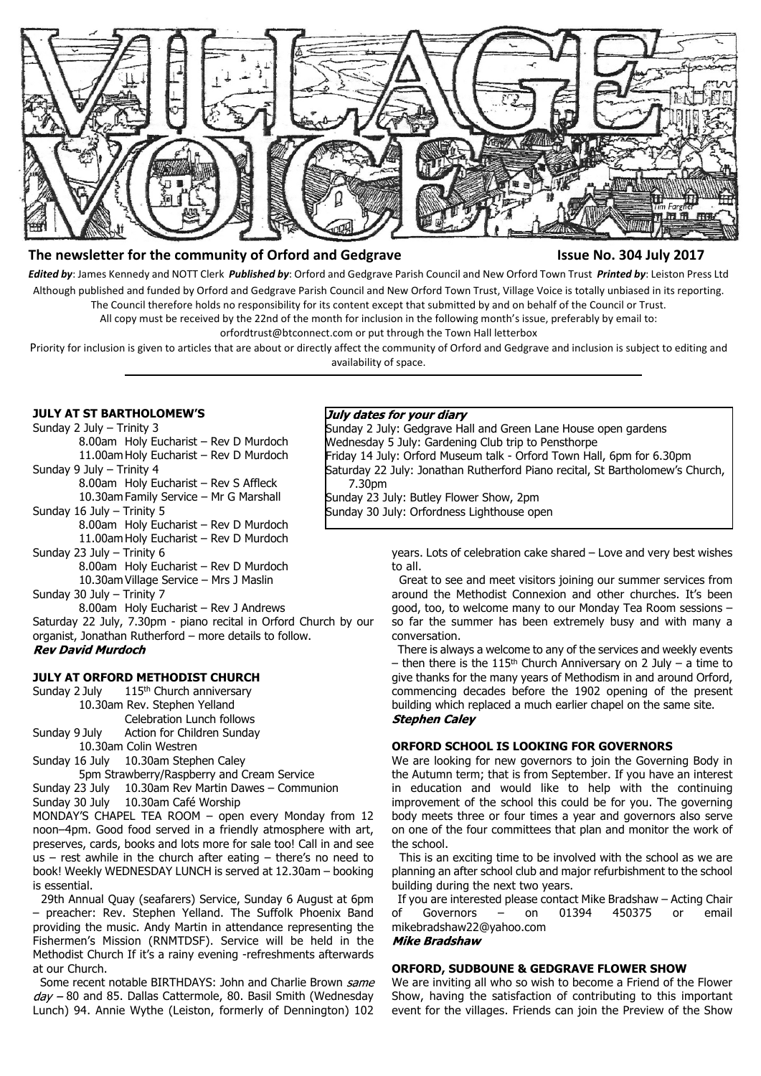

# **The newsletter for the community of Orford and Gedgrave Integral Community 1998 To Arrow Research Arrow Research Arrow Research Arrow Research Arrow Research Arrow Research Arrow Research Arrow Research Arrow Research Arr**

*Edited by*: James Kennedy and NOTT Clerk *Published by*: Orford and Gedgrave Parish Council and New Orford Town Trust *Printed by*: Leiston Press Ltd Although published and funded by Orford and Gedgrave Parish Council and New Orford Town Trust, Village Voice is totally unbiased in its reporting. The Council therefore holds no responsibility for its content except that submitted by and on behalf of the Council or Trust.

All copy must be received by the 22nd of the month for inclusion in the following month's issue, preferably by email to:

orfordtrust@btconnect.com or put through the Town Hall letterbox

Priority for inclusion is given to articles that are about or directly affect the community of Orford and Gedgrave and inclusion is subject to editing and availability of space.

## **JULY AT ST BARTHOLOMEW'S**

Sunday 2 July – Trinity 3 8.00am Holy Eucharist – Rev D Murdoch 11.00am Holy Eucharist – Rev D Murdoch Sunday 9 July – Trinity 4 8.00am Holy Eucharist – Rev S Affleck 10.30am Family Service – Mr G Marshall

Sunday 16 July – Trinity 5

8.00am Holy Eucharist – Rev D Murdoch 11.00am Holy Eucharist – Rev D Murdoch

Sunday 23 July – Trinity 6

8.00am Holy Eucharist – Rev D Murdoch 10.30am Village Service – Mrs J Maslin

Sunday 30 July – Trinity 7

8.00am Holy Eucharist – Rev J Andrews

Saturday 22 July, 7.30pm - piano recital in Orford Church by our organist, Jonathan Rutherford – more details to follow. **Rev David Murdoch** 

## **JULY AT ORFORD METHODIST CHURCH**

Sunday 2 July 115<sup>th</sup> Church anniversary 10.30am Rev. Stephen Yelland Celebration Lunch follows Sunday 9 July Action for Children Sunday

10.30am Colin Westren

Sunday 16 July 10.30am Stephen Caley

5pm Strawberry/Raspberry and Cream Service

Sunday 23 July 10.30am Rev Martin Dawes – Communion

Sunday 30 July 10.30am Café Worship

MONDAY'S CHAPEL TEA ROOM – open every Monday from 12 noon–4pm. Good food served in a friendly atmosphere with art, preserves, cards, books and lots more for sale too! Call in and see us – rest awhile in the church after eating – there's no need to book! Weekly WEDNESDAY LUNCH is served at 12.30am – booking is essential.

 29th Annual Quay (seafarers) Service, Sunday 6 August at 6pm – preacher: Rev. Stephen Yelland. The Suffolk Phoenix Band providing the music. Andy Martin in attendance representing the Fishermen's Mission (RNMTDSF). Service will be held in the Methodist Church If it's a rainy evening -refreshments afterwards at our Church.

Some recent notable BIRTHDAYS: John and Charlie Brown same  $day - 80$  and 85. Dallas Cattermole, 80. Basil Smith (Wednesday Lunch) 94. Annie Wythe (Leiston, formerly of Dennington) 102

#### July dates for your diary

Sunday 2 July: Gedgrave Hall and Green Lane House open gardens Wednesday 5 July: Gardening Club trip to Pensthorpe Friday 14 July: Orford Museum talk - Orford Town Hall, 6pm for 6.30pm Saturday 22 July: Jonathan Rutherford Piano recital, St Bartholomew's Church, 7.30pm Sunday 23 July: Butley Flower Show, 2pm

Sunday 30 July: Orfordness Lighthouse open

years. Lots of celebration cake shared – Love and very best wishes to all.

 Great to see and meet visitors joining our summer services from around the Methodist Connexion and other churches. It's been good, too, to welcome many to our Monday Tea Room sessions – so far the summer has been extremely busy and with many a conversation.

 There is always a welcome to any of the services and weekly events – then there is the 115<sup>th</sup> Church Anniversary on 2 July – a time to give thanks for the many years of Methodism in and around Orford, commencing decades before the 1902 opening of the present building which replaced a much earlier chapel on the same site. **Stephen Caley** 

## **ORFORD SCHOOL IS LOOKING FOR GOVERNORS**

We are looking for new governors to join the Governing Body in the Autumn term; that is from September. If you have an interest in education and would like to help with the continuing improvement of the school this could be for you. The governing body meets three or four times a year and governors also serve on one of the four committees that plan and monitor the work of the school.

 This is an exciting time to be involved with the school as we are planning an after school club and major refurbishment to the school building during the next two years.

 If you are interested please contact Mike Bradshaw – Acting Chair of Governors – on 01394 450375 or email mikebradshaw22@yahoo.com

## **Mike Bradshaw**

#### **ORFORD, SUDBOUNE & GEDGRAVE FLOWER SHOW**

We are inviting all who so wish to become a Friend of the Flower Show, having the satisfaction of contributing to this important event for the villages. Friends can join the Preview of the Show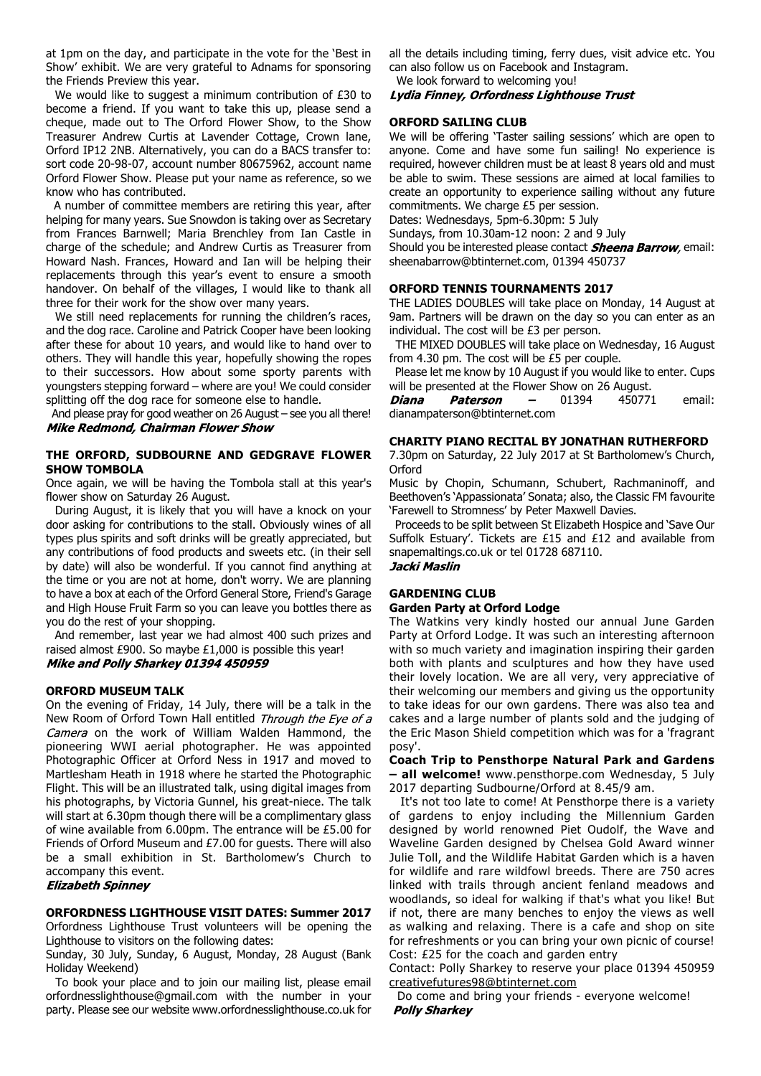at 1pm on the day, and participate in the vote for the 'Best in Show' exhibit. We are very grateful to Adnams for sponsoring the Friends Preview this year.

 We would like to suggest a minimum contribution of £30 to become a friend. If you want to take this up, please send a cheque, made out to The Orford Flower Show, to the Show Treasurer Andrew Curtis at Lavender Cottage, Crown lane, Orford IP12 2NB. Alternatively, you can do a BACS transfer to: sort code 20-98-07, account number 80675962, account name Orford Flower Show. Please put your name as reference, so we know who has contributed.

 A number of committee members are retiring this year, after helping for many years. Sue Snowdon is taking over as Secretary from Frances Barnwell; Maria Brenchley from Ian Castle in charge of the schedule; and Andrew Curtis as Treasurer from Howard Nash. Frances, Howard and Ian will be helping their replacements through this year's event to ensure a smooth handover. On behalf of the villages, I would like to thank all three for their work for the show over many years.

 We still need replacements for running the children's races, and the dog race. Caroline and Patrick Cooper have been looking after these for about 10 years, and would like to hand over to others. They will handle this year, hopefully showing the ropes to their successors. How about some sporty parents with youngsters stepping forward – where are you! We could consider splitting off the dog race for someone else to handle.

 And please pray for good weather on 26 August – see you all there! **Mike Redmond, Chairman Flower Show** 

## **THE ORFORD, SUDBOURNE AND GEDGRAVE FLOWER SHOW TOMBOLA**

Once again, we will be having the Tombola stall at this year's flower show on Saturday 26 August.

 During August, it is likely that you will have a knock on your door asking for contributions to the stall. Obviously wines of all types plus spirits and soft drinks will be greatly appreciated, but any contributions of food products and sweets etc. (in their sell by date) will also be wonderful. If you cannot find anything at the time or you are not at home, don't worry. We are planning to have a box at each of the Orford General Store, Friend's Garage and High House Fruit Farm so you can leave you bottles there as you do the rest of your shopping.

 And remember, last year we had almost 400 such prizes and raised almost £900. So maybe £1,000 is possible this year!

# Mike and Polly Sharkey 01394 450959

## **ORFORD MUSEUM TALK**

On the evening of Friday, 14 July, there will be a talk in the New Room of Orford Town Hall entitled Through the Eye of a Camera on the work of William Walden Hammond, the pioneering WWI aerial photographer. He was appointed Photographic Officer at Orford Ness in 1917 and moved to Martlesham Heath in 1918 where he started the Photographic Flight. This will be an illustrated talk, using digital images from his photographs, by Victoria Gunnel, his great-niece. The talk will start at 6.30pm though there will be a complimentary glass of wine available from 6.00pm. The entrance will be £5.00 for Friends of Orford Museum and £7.00 for guests. There will also be a small exhibition in St. Bartholomew's Church to accompany this event. **Elizabeth Spinney** 

## **ORFORDNESS LIGHTHOUSE VISIT DATES: Summer 2017**

Orfordness Lighthouse Trust volunteers will be opening the Lighthouse to visitors on the following dates:

Sunday, 30 July, Sunday, 6 August, Monday, 28 August (Bank Holiday Weekend)

 To book your place and to join our mailing list, please email orfordnesslighthouse@gmail.com with the number in your party. Please see our website www.orfordnesslighthouse.co.uk for all the details including timing, ferry dues, visit advice etc. You can also follow us on Facebook and Instagram.

We look forward to welcoming you!

# Lydia Finney, Orfordness Lighthouse Trust

# **ORFORD SAILING CLUB**

We will be offering 'Taster sailing sessions' which are open to anyone. Come and have some fun sailing! No experience is required, however children must be at least 8 years old and must be able to swim. These sessions are aimed at local families to create an opportunity to experience sailing without any future commitments. We charge £5 per session.

Dates: Wednesdays, 5pm-6.30pm: 5 July

Sundays, from 10.30am-12 noon: 2 and 9 July

Should you be interested please contact **Sheena Barrow**, email: sheenabarrow@btinternet.com, 01394 450737

# **ORFORD TENNIS TOURNAMENTS 2017**

THE LADIES DOUBLES will take place on Monday, 14 August at 9am. Partners will be drawn on the day so you can enter as an individual. The cost will be £3 per person.

 THE MIXED DOUBLES will take place on Wednesday, 16 August from 4.30 pm. The cost will be £5 per couple.

 Please let me know by 10 August if you would like to enter. Cups will be presented at the Flower Show on 26 August.

Diana Paterson  $\overline{\phantom{0}}$ 01394 450771 email: dianampaterson@btinternet.com

#### **CHARITY PIANO RECITAL BY JONATHAN RUTHERFORD**

7.30pm on Saturday, 22 July 2017 at St Bartholomew's Church, Orford

Music by Chopin, Schumann, Schubert, Rachmaninoff, and Beethoven's 'Appassionata' Sonata; also, the Classic FM favourite 'Farewell to Stromness' by Peter Maxwell Davies.

 Proceeds to be split between St Elizabeth Hospice and 'Save Our Suffolk Estuary'. Tickets are £15 and £12 and available from snapemaltings.co.uk or tel 01728 687110. Jacki Maslin

# **GARDENING CLUB Garden Party at Orford Lodge**

The Watkins very kindly hosted our annual June Garden Party at Orford Lodge. It was such an interesting afternoon with so much variety and imagination inspiring their garden both with plants and sculptures and how they have used their lovely location. We are all very, very appreciative of their welcoming our members and giving us the opportunity to take ideas for our own gardens. There was also tea and cakes and a large number of plants sold and the judging of the Eric Mason Shield competition which was for a 'fragrant posy'.

**Coach Trip to Pensthorpe Natural Park and Gardens – all welcome!** www.pensthorpe.com Wednesday, 5 July 2017 departing Sudbourne/Orford at 8.45/9 am.

 It's not too late to come! At Pensthorpe there is a variety of gardens to enjoy including the Millennium Garden designed by world renowned Piet Oudolf, the Wave and Waveline Garden designed by Chelsea Gold Award winner Julie Toll, and the Wildlife Habitat Garden which is a haven for wildlife and rare wildfowl breeds. There are 750 acres linked with trails through ancient fenland meadows and woodlands, so ideal for walking if that's what you like! But if not, there are many benches to enjoy the views as well as walking and relaxing. There is a cafe and shop on site for refreshments or you can bring your own picnic of course! Cost: £25 for the coach and garden entry

Contact: Polly Sharkey to reserve your place 01394 450959 creativefutures98@btinternet.com

 Do come and bring your friends - everyone welcome!**Polly Sharkey**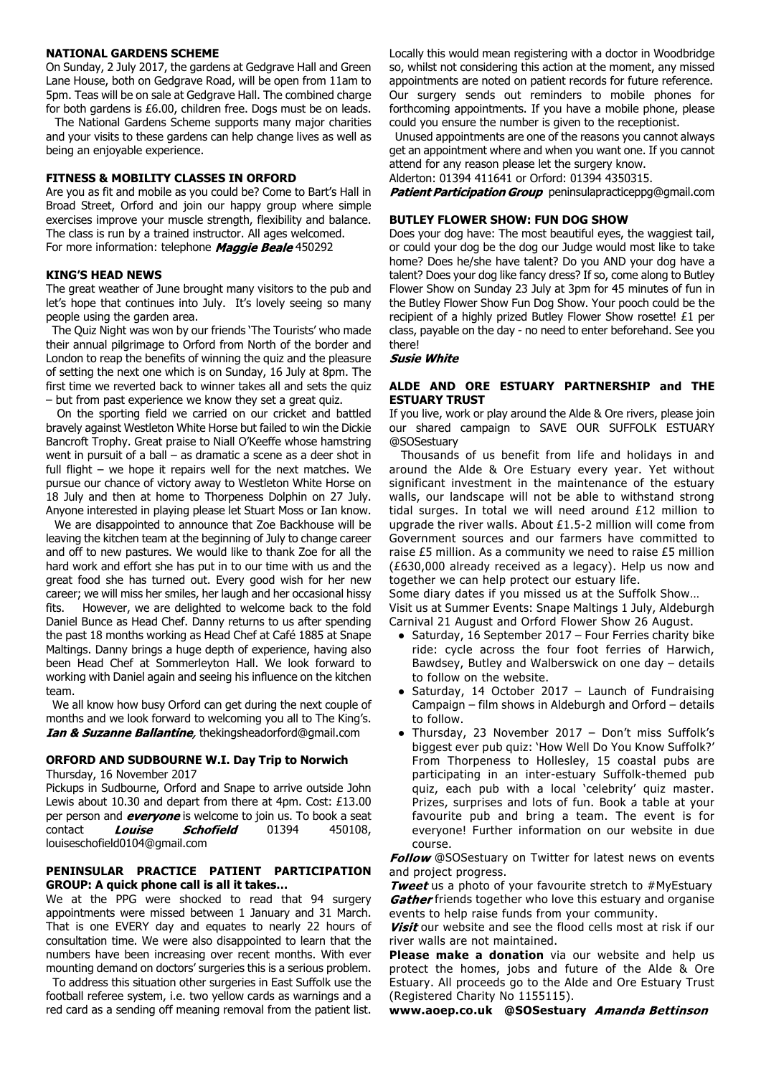### **NATIONAL GARDENS SCHEME**

On Sunday, 2 July 2017, the gardens at Gedgrave Hall and Green Lane House, both on Gedgrave Road, will be open from 11am to 5pm. Teas will be on sale at Gedgrave Hall. The combined charge for both gardens is £6.00, children free. Dogs must be on leads.

 The National Gardens Scheme supports many major charities and your visits to these gardens can help change lives as well as being an enjoyable experience.

# **FITNESS & MOBILITY CLASSES IN ORFORD**

Are you as fit and mobile as you could be? Come to Bart's Hall in Broad Street, Orford and join our happy group where simple exercises improve your muscle strength, flexibility and balance. The class is run by a trained instructor. All ages welcomed. For more information: telephone Maggie Beale 450292

#### **KING'S HEAD NEWS**

The great weather of June brought many visitors to the pub and let's hope that continues into July. It's lovely seeing so many people using the garden area.

 The Quiz Night was won by our friends 'The Tourists' who made their annual pilgrimage to Orford from North of the border and London to reap the benefits of winning the quiz and the pleasure of setting the next one which is on Sunday, 16 July at 8pm. The first time we reverted back to winner takes all and sets the quiz – but from past experience we know they set a great quiz.

 On the sporting field we carried on our cricket and battled bravely against Westleton White Horse but failed to win the Dickie Bancroft Trophy. Great praise to Niall O'Keeffe whose hamstring went in pursuit of a ball – as dramatic a scene as a deer shot in full flight – we hope it repairs well for the next matches. We pursue our chance of victory away to Westleton White Horse on 18 July and then at home to Thorpeness Dolphin on 27 July. Anyone interested in playing please let Stuart Moss or Ian know.

 We are disappointed to announce that Zoe Backhouse will be leaving the kitchen team at the beginning of July to change career and off to new pastures. We would like to thank Zoe for all the hard work and effort she has put in to our time with us and the great food she has turned out. Every good wish for her new career; we will miss her smiles, her laugh and her occasional hissy fits. However, we are delighted to welcome back to the fold Daniel Bunce as Head Chef. Danny returns to us after spending the past 18 months working as Head Chef at Café 1885 at Snape Maltings. Danny brings a huge depth of experience, having also been Head Chef at Sommerleyton Hall. We look forward to working with Daniel again and seeing his influence on the kitchen team.

 We all know how busy Orford can get during the next couple of months and we look forward to welcoming you all to The King's. **Ian & Suzanne Ballantine**, thekingsheadorford@gmail.com

# **ORFORD AND SUDBOURNE W.I. Day Trip to Norwich**

Thursday, 16 November 2017

Pickups in Sudbourne, Orford and Snape to arrive outside John Lewis about 10.30 and depart from there at 4pm. Cost: £13.00 per person and **everyone** is welcome to join us. To book a seat  $\frac{1}{2}$  contact  $\frac{1}{2}$  **Louise Schofield** 01394 450108, louiseschofield0104@gmail.com

#### **PENINSULAR PRACTICE PATIENT PARTICIPATION GROUP: A quick phone call is all it takes…**

We at the PPG were shocked to read that 94 surgery appointments were missed between 1 January and 31 March. That is one EVERY day and equates to nearly 22 hours of consultation time. We were also disappointed to learn that the numbers have been increasing over recent months. With ever mounting demand on doctors' surgeries this is a serious problem.

 To address this situation other surgeries in East Suffolk use the football referee system, i.e. two yellow cards as warnings and a red card as a sending off meaning removal from the patient list.

Locally this would mean registering with a doctor in Woodbridge so, whilst not considering this action at the moment, any missed appointments are noted on patient records for future reference. Our surgery sends out reminders to mobile phones for forthcoming appointments. If you have a mobile phone, please could you ensure the number is given to the receptionist.

 Unused appointments are one of the reasons you cannot always get an appointment where and when you want one. If you cannot attend for any reason please let the surgery know. Alderton: 01394 411641 or Orford: 01394 4350315.

**Patient Participation Group** peninsulapracticeppg@gmail.com

# **BUTLEY FLOWER SHOW: FUN DOG SHOW**

Does your dog have: The most beautiful eyes, the waggiest tail, or could your dog be the dog our Judge would most like to take home? Does he/she have talent? Do you AND your dog have a talent? Does your dog like fancy dress? If so, come along to Butley Flower Show on Sunday 23 July at 3pm for 45 minutes of fun in the Butley Flower Show Fun Dog Show. Your pooch could be the recipient of a highly prized Butley Flower Show rosette! £1 per class, payable on the day - no need to enter beforehand. See you there!

#### **Susie White**

# **ALDE AND ORE ESTUARY PARTNERSHIP and THE ESTUARY TRUST**

If you live, work or play around the Alde & Ore rivers, please join our shared campaign to SAVE OUR SUFFOLK ESTUARY @SOSestuary

 Thousands of us benefit from life and holidays in and around the Alde & Ore Estuary every year. Yet without significant investment in the maintenance of the estuary walls, our landscape will not be able to withstand strong tidal surges. In total we will need around £12 million to upgrade the river walls. About £1.5-2 million will come from Government sources and our farmers have committed to raise £5 million. As a community we need to raise £5 million (£630,000 already received as a legacy). Help us now and together we can help protect our estuary life.

Some diary dates if you missed us at the Suffolk Show… Visit us at Summer Events: Snape Maltings 1 July, Aldeburgh

- Carnival 21 August and Orford Flower Show 26 August. • Saturday, 16 September 2017 - Four Ferries charity bike ride: cycle across the four foot ferries of Harwich, Bawdsey, Butley and Walberswick on one day – details to follow on the website.
	- Saturday, 14 October 2017 Launch of Fundraising Campaign – film shows in Aldeburgh and Orford – details to follow.
	- Thursday, 23 November 2017 Don't miss Suffolk's biggest ever pub quiz: 'How Well Do You Know Suffolk?' From Thorpeness to Hollesley, 15 coastal pubs are participating in an inter-estuary Suffolk-themed pub quiz, each pub with a local 'celebrity' quiz master. Prizes, surprises and lots of fun. Book a table at your favourite pub and bring a team. The event is for everyone! Further information on our website in due course.

Follow @SOSestuary on Twitter for latest news on events and project progress.

Tweet us a photo of your favourite stretch to #MyEstuary Gather friends together who love this estuary and organise events to help raise funds from your community.

Visit our website and see the flood cells most at risk if our river walls are not maintained.

**Please make a donation** via our website and help us protect the homes, jobs and future of the Alde & Ore Estuary. All proceeds go to the Alde and Ore Estuary Trust (Registered Charity No 1155115).

**www.aoep.co.uk @SOSestuary**